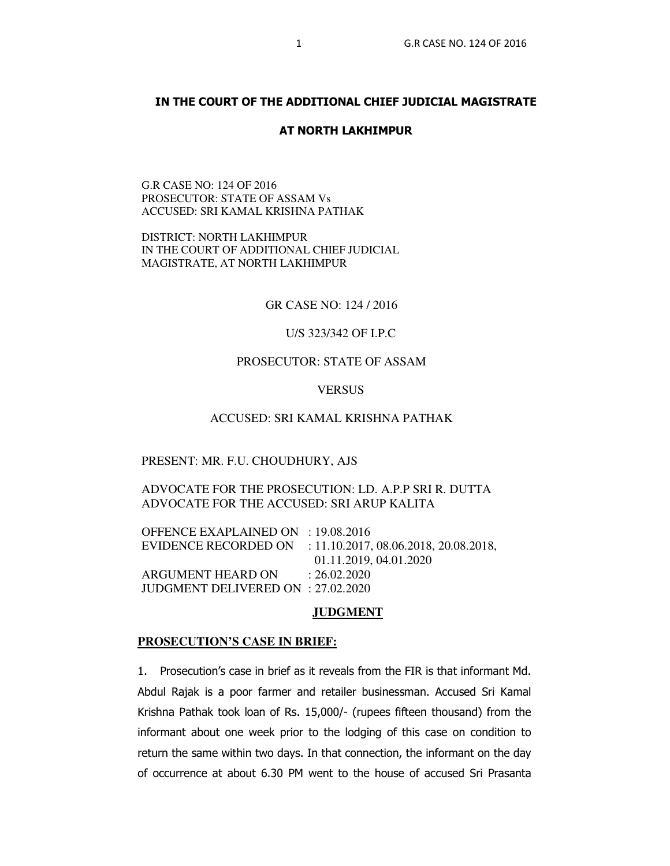## **IN THE COURT OF THE ADDITIONAL CHIEF JUDICIAL MAGISTRATE**

#### **AT NORTH LAKHIMPUR**

G.R CASE NO: 124 OF 2016 PROSECUTOR: STATE OF ASSAM Vs ACCUSED: SRI KAMAL KRISHNA PATHAK

DISTRICT: NORTH LAKHIMPUR IN THE COURT OF ADDITIONAL CHIEF JUDICIAL MAGISTRATE, AT NORTH LAKHIMPUR

GR CASE NO: 124 / 2016

U/S 323/342 OF I.P.C

# PROSECUTOR: STATE OF ASSAM

VERSUS

### ACCUSED: SRI KAMAL KRISHNA PATHAK

#### PRESENT: MR. F.U. CHOUDHURY, AJS

## ADVOCATE FOR THE PROSECUTION: LD. A.P.P SRI R. DUTTA ADVOCATE FOR THE ACCUSED: SRI ARUP KALITA

OFFENCE EXAPLAINED ON : 19.08.2016 EVIDENCE RECORDED ON : 11.10.2017, 08.06.2018, 20.08.2018, 01.11.2019, 04.01.2020 ARGUMENT HEARD ON : 26.02.2020 JUDGMENT DELIVERED ON : 27.02.2020

#### **JUDGMENT**

#### **PROSECUTION'S CASE IN BRIEF:**

1. Prosecution's case in brief as it reveals from the FIR is that informant Md. Abdul Rajak is a poor farmer and retailer businessman. Accused Sri Kamal Krishna Pathak took loan of Rs. 15,000/- (rupees fifteen thousand) from the informant about one week prior to the lodging of this case on condition to return the same within two days. In that connection, the informant on the day of occurrence at about 6.30 PM went to the house of accused Sri Prasanta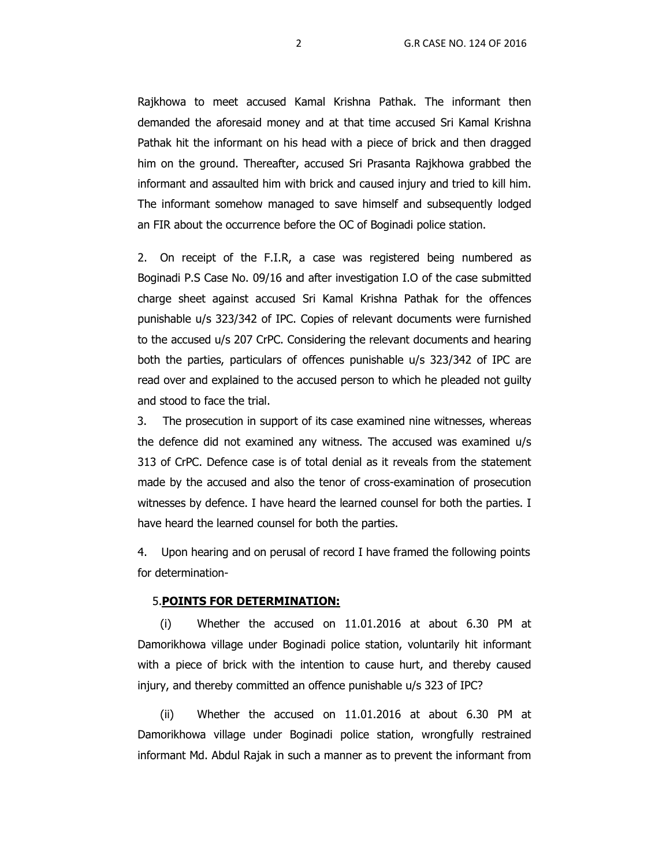Rajkhowa to meet accused Kamal Krishna Pathak. The informant then demanded the aforesaid money and at that time accused Sri Kamal Krishna Pathak hit the informant on his head with a piece of brick and then dragged him on the ground. Thereafter, accused Sri Prasanta Rajkhowa grabbed the informant and assaulted him with brick and caused injury and tried to kill him. The informant somehow managed to save himself and subsequently lodged an FIR about the occurrence before the OC of Boginadi police station.

2. On receipt of the F.I.R, a case was registered being numbered as Boginadi P.S Case No. 09/16 and after investigation I.O of the case submitted charge sheet against accused Sri Kamal Krishna Pathak for the offences punishable u/s 323/342 of IPC. Copies of relevant documents were furnished to the accused u/s 207 CrPC. Considering the relevant documents and hearing both the parties, particulars of offences punishable u/s 323/342 of IPC are read over and explained to the accused person to which he pleaded not guilty and stood to face the trial.

 3. The prosecution in support of its case examined nine witnesses, whereas the defence did not examined any witness. The accused was examined u/s 313 of CrPC. Defence case is of total denial as it reveals from the statement made by the accused and also the tenor of cross-examination of prosecution witnesses by defence. I have heard the learned counsel for both the parties. I have heard the learned counsel for both the parties.

4. Upon hearing and on perusal of record I have framed the following points for determination-

### 5.**POINTS FOR DETERMINATION:**

(i) Whether the accused on 11.01.2016 at about 6.30 PM at Damorikhowa village under Boginadi police station, voluntarily hit informant with a piece of brick with the intention to cause hurt, and thereby caused injury, and thereby committed an offence punishable u/s 323 of IPC?

(ii) Whether the accused on 11.01.2016 at about 6.30 PM at Damorikhowa village under Boginadi police station, wrongfully restrained informant Md. Abdul Rajak in such a manner as to prevent the informant from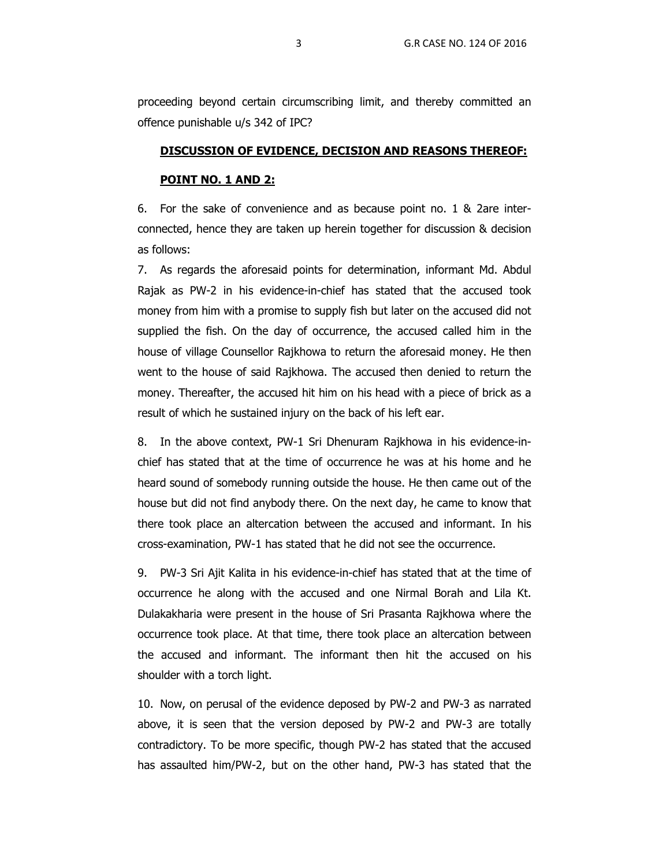proceeding beyond certain circumscribing limit, and thereby committed an offence punishable u/s 342 of IPC?

#### **DISCUSSION OF EVIDENCE, DECISION AND REASONS THEREOF:**

### **POINT NO. 1 AND 2:**

6. For the sake of convenience and as because point no. 1 & 2are interconnected, hence they are taken up herein together for discussion & decision as follows:

7. As regards the aforesaid points for determination, informant Md. Abdul Rajak as PW-2 in his evidence-in-chief has stated that the accused took money from him with a promise to supply fish but later on the accused did not supplied the fish. On the day of occurrence, the accused called him in the house of village Counsellor Rajkhowa to return the aforesaid money. He then went to the house of said Rajkhowa. The accused then denied to return the money. Thereafter, the accused hit him on his head with a piece of brick as a result of which he sustained injury on the back of his left ear.

8. In the above context, PW-1 Sri Dhenuram Rajkhowa in his evidence-inchief has stated that at the time of occurrence he was at his home and he heard sound of somebody running outside the house. He then came out of the house but did not find anybody there. On the next day, he came to know that there took place an altercation between the accused and informant. In his cross-examination, PW-1 has stated that he did not see the occurrence.

9. PW-3 Sri Ajit Kalita in his evidence-in-chief has stated that at the time of occurrence he along with the accused and one Nirmal Borah and Lila Kt. Dulakakharia were present in the house of Sri Prasanta Rajkhowa where the occurrence took place. At that time, there took place an altercation between the accused and informant. The informant then hit the accused on his shoulder with a torch light.

10. Now, on perusal of the evidence deposed by PW-2 and PW-3 as narrated above, it is seen that the version deposed by PW-2 and PW-3 are totally contradictory. To be more specific, though PW-2 has stated that the accused has assaulted him/PW-2, but on the other hand, PW-3 has stated that the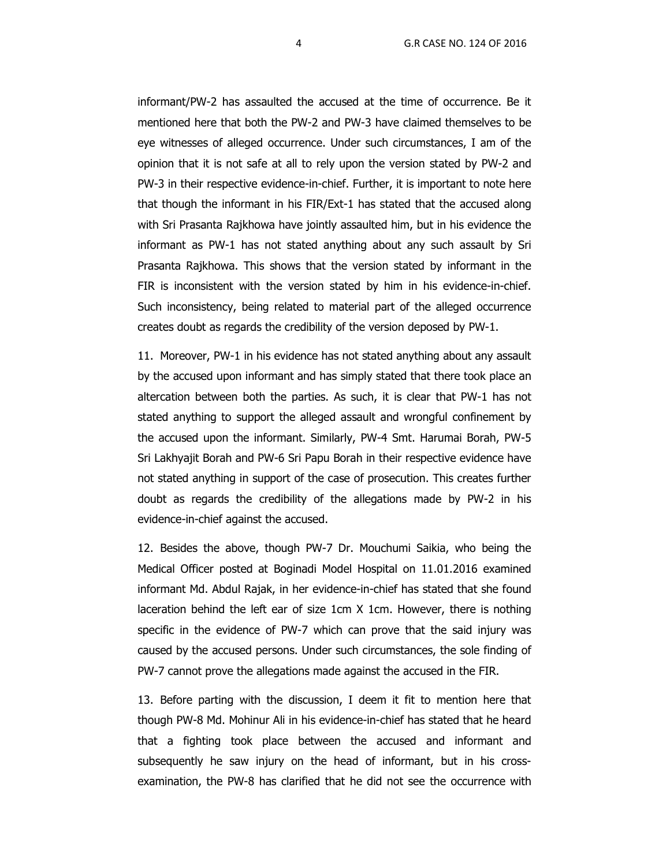informant/PW-2 has assaulted the accused at the time of occurrence. Be it mentioned here that both the PW-2 and PW-3 have claimed themselves to be eye witnesses of alleged occurrence. Under such circumstances, I am of the opinion that it is not safe at all to rely upon the version stated by PW-2 and PW-3 in their respective evidence-in-chief. Further, it is important to note here that though the informant in his FIR/Ext-1 has stated that the accused along with Sri Prasanta Rajkhowa have jointly assaulted him, but in his evidence the informant as PW-1 has not stated anything about any such assault by Sri Prasanta Rajkhowa. This shows that the version stated by informant in the FIR is inconsistent with the version stated by him in his evidence-in-chief. Such inconsistency, being related to material part of the alleged occurrence creates doubt as regards the credibility of the version deposed by PW-1.

11. Moreover, PW-1 in his evidence has not stated anything about any assault by the accused upon informant and has simply stated that there took place an altercation between both the parties. As such, it is clear that PW-1 has not stated anything to support the alleged assault and wrongful confinement by the accused upon the informant. Similarly, PW-4 Smt. Harumai Borah, PW-5 Sri Lakhyajit Borah and PW-6 Sri Papu Borah in their respective evidence have not stated anything in support of the case of prosecution. This creates further doubt as regards the credibility of the allegations made by PW-2 in his evidence-in-chief against the accused.

12. Besides the above, though PW-7 Dr. Mouchumi Saikia, who being the Medical Officer posted at Boginadi Model Hospital on 11.01.2016 examined informant Md. Abdul Rajak, in her evidence-in-chief has stated that she found laceration behind the left ear of size 1cm X 1cm. However, there is nothing specific in the evidence of PW-7 which can prove that the said injury was caused by the accused persons. Under such circumstances, the sole finding of PW-7 cannot prove the allegations made against the accused in the FIR.

13. Before parting with the discussion, I deem it fit to mention here that though PW-8 Md. Mohinur Ali in his evidence-in-chief has stated that he heard that a fighting took place between the accused and informant and subsequently he saw injury on the head of informant, but in his crossexamination, the PW-8 has clarified that he did not see the occurrence with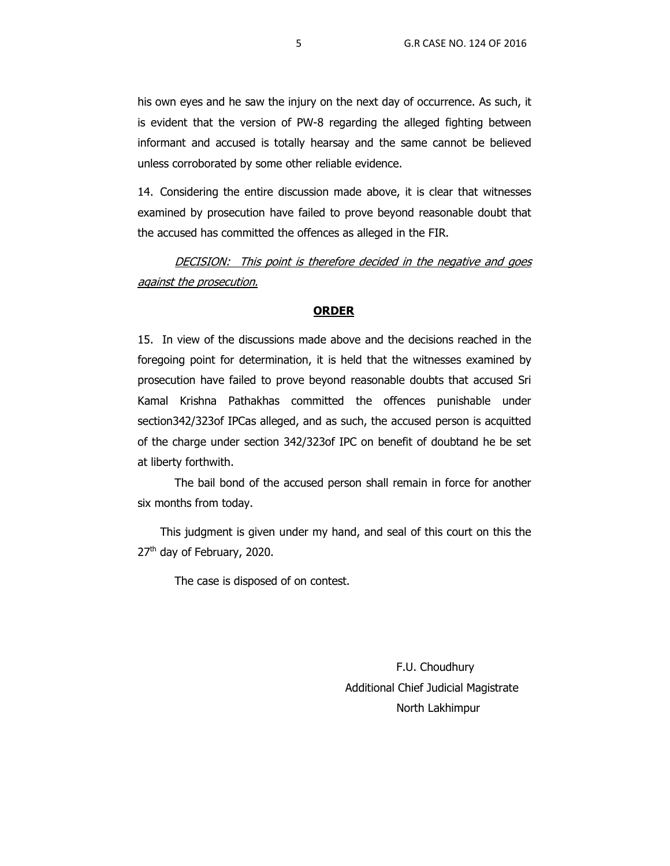his own eyes and he saw the injury on the next day of occurrence. As such, it is evident that the version of PW-8 regarding the alleged fighting between informant and accused is totally hearsay and the same cannot be believed unless corroborated by some other reliable evidence.

14. Considering the entire discussion made above, it is clear that witnesses examined by prosecution have failed to prove beyond reasonable doubt that the accused has committed the offences as alleged in the FIR.

DECISION: This point is therefore decided in the negative and goes against the prosecution.

#### **ORDER**

15. In view of the discussions made above and the decisions reached in the foregoing point for determination, it is held that the witnesses examined by prosecution have failed to prove beyond reasonable doubts that accused Sri Kamal Krishna Pathakhas committed the offences punishable under section342/323of IPCas alleged, and as such, the accused person is acquitted of the charge under section 342/323of IPC on benefit of doubtand he be set at liberty forthwith.

The bail bond of the accused person shall remain in force for another six months from today.

 This judgment is given under my hand, and seal of this court on this the 27<sup>th</sup> day of February, 2020.

The case is disposed of on contest.

 F.U. Choudhury Additional Chief Judicial Magistrate North Lakhimpur